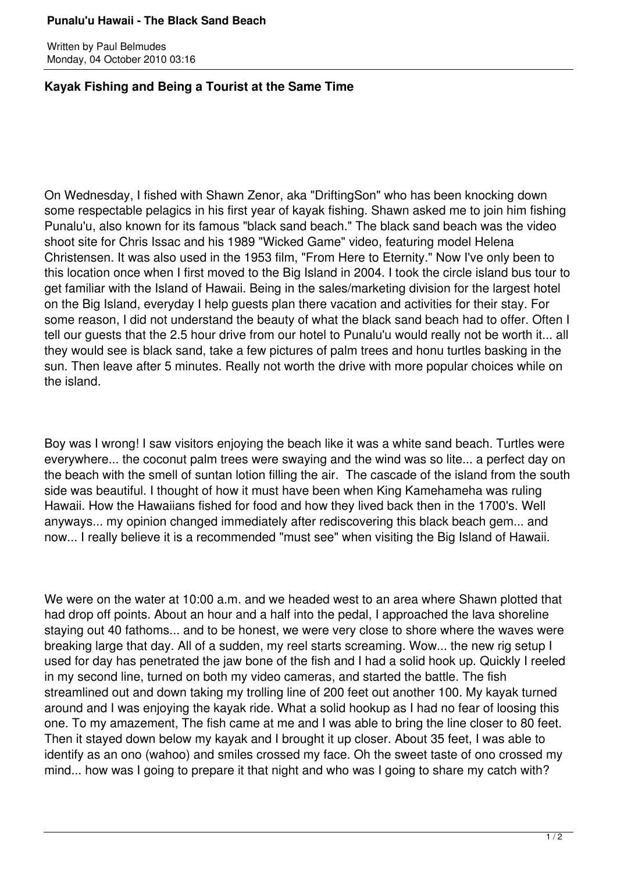## **Punalu'u Hawaii - The Black Sand Beach**

Written by Paul Belmudes Monday, 04 October 2010 03:16

## **Kayak Fishing and Being a Tourist at the Same Time**

On Wednesday, I fished with Shawn Zenor, aka "DriftingSon" who has been knocking down some respectable pelagics in his first year of kayak fishing. Shawn asked me to join him fishing Punalu'u, also known for its famous "black sand beach." The black sand beach was the video shoot site for Chris Issac and his 1989 "Wicked Game" video, featuring model Helena Christensen. It was also used in the 1953 film, "From Here to Eternity." Now I've only been to this location once when I first moved to the Big Island in 2004. I took the circle island bus tour to get familiar with the Island of Hawaii. Being in the sales/marketing division for the largest hotel on the Big Island, everyday I help guests plan there vacation and activities for their stay. For some reason, I did not understand the beauty of what the black sand beach had to offer. Often I tell our guests that the 2.5 hour drive from our hotel to Punalu'u would really not be worth it... all they would see is black sand, take a few pictures of palm trees and honu turtles basking in the sun. Then leave after 5 minutes. Really not worth the drive with more popular choices while on the island.

Boy was I wrong! I saw visitors enjoying the beach like it was a white sand beach. Turtles were everywhere... the coconut palm trees were swaying and the wind was so lite... a perfect day on the beach with the smell of suntan lotion filling the air. The cascade of the island from the south side was beautiful. I thought of how it must have been when King Kamehameha was ruling Hawaii. How the Hawaiians fished for food and how they lived back then in the 1700's. Well anyways... my opinion changed immediately after rediscovering this black beach gem... and now... I really believe it is a recommended "must see" when visiting the Big Island of Hawaii.

We were on the water at 10:00 a.m. and we headed west to an area where Shawn plotted that had drop off points. About an hour and a half into the pedal, I approached the lava shoreline staying out 40 fathoms... and to be honest, we were very close to shore where the waves were breaking large that day. All of a sudden, my reel starts screaming. Wow... the new rig setup I used for day has penetrated the jaw bone of the fish and I had a solid hook up. Quickly I reeled in my second line, turned on both my video cameras, and started the battle. The fish streamlined out and down taking my trolling line of 200 feet out another 100. My kayak turned around and I was enjoying the kayak ride. What a solid hookup as I had no fear of loosing this one. To my amazement, The fish came at me and I was able to bring the line closer to 80 feet. Then it stayed down below my kayak and I brought it up closer. About 35 feet, I was able to identify as an ono (wahoo) and smiles crossed my face. Oh the sweet taste of ono crossed my mind... how was I going to prepare it that night and who was I going to share my catch with?